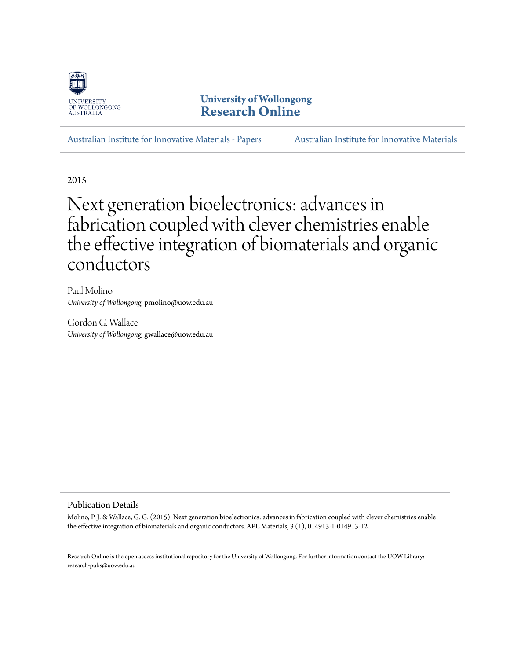

**University of Wollongong [Research Online](http://ro.uow.edu.au)**

[Australian Institute for Innovative Materials - Papers](http://ro.uow.edu.au/aiimpapers) [Australian Institute for Innovative Materials](http://ro.uow.edu.au/aiim)

2015

# Next generation bioelectronics: advances in fabrication coupled with clever chemistries enable the effective integration of biomaterials and organic conductors

Paul Molino *University of Wollongong*, pmolino@uow.edu.au

Gordon G. Wallace *University of Wollongong*, gwallace@uow.edu.au

#### Publication Details

Molino, P. J. & Wallace, G. G. (2015). Next generation bioelectronics: advances in fabrication coupled with clever chemistries enable the effective integration of biomaterials and organic conductors. APL Materials, 3 (1), 014913-1-014913-12.

Research Online is the open access institutional repository for the University of Wollongong. For further information contact the UOW Library: research-pubs@uow.edu.au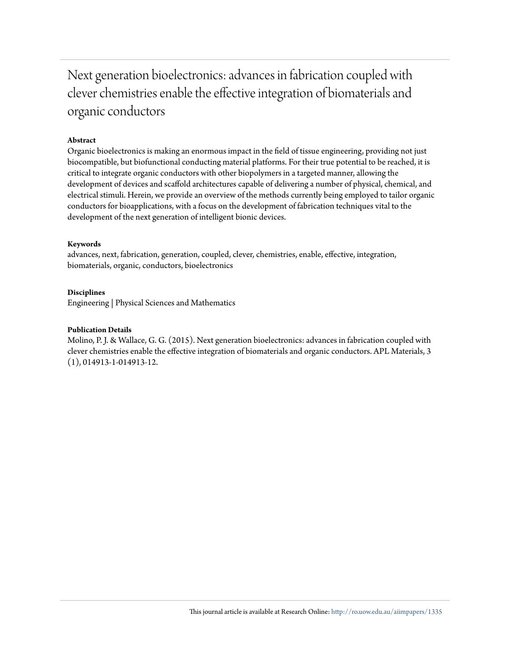## Next generation bioelectronics: advances in fabrication coupled with clever chemistries enable the effective integration of biomaterials and organic conductors

#### **Abstract**

Organic bioelectronics is making an enormous impact in the field of tissue engineering, providing not just biocompatible, but biofunctional conducting material platforms. For their true potential to be reached, it is critical to integrate organic conductors with other biopolymers in a targeted manner, allowing the development of devices and scaffold architectures capable of delivering a number of physical, chemical, and electrical stimuli. Herein, we provide an overview of the methods currently being employed to tailor organic conductors for bioapplications, with a focus on the development of fabrication techniques vital to the development of the next generation of intelligent bionic devices.

#### **Keywords**

advances, next, fabrication, generation, coupled, clever, chemistries, enable, effective, integration, biomaterials, organic, conductors, bioelectronics

#### **Disciplines**

Engineering | Physical Sciences and Mathematics

#### **Publication Details**

Molino, P. J. & Wallace, G. G. (2015). Next generation bioelectronics: advances in fabrication coupled with clever chemistries enable the effective integration of biomaterials and organic conductors. APL Materials, 3 (1), 014913-1-014913-12.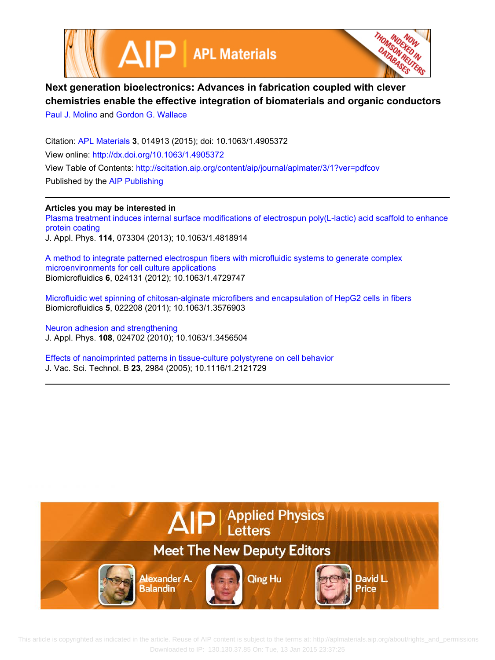



## **Next generation bioelectronics: Advances in fabrication coupled with clever chemistries enable the effective integration of biomaterials and organic conductors**

[Paul J. Molino](http://scitation.aip.org/search?value1=Paul+J.+Molino&option1=author) and [Gordon G. Wallace](http://scitation.aip.org/search?value1=Gordon+G.+Wallace&option1=author)

Citation: [APL Materials](http://scitation.aip.org/content/aip/journal/aplmater?ver=pdfcov) **3**, 014913 (2015); doi: 10.1063/1.4905372 View online: <http://dx.doi.org/10.1063/1.4905372> View Table of Contents:<http://scitation.aip.org/content/aip/journal/aplmater/3/1?ver=pdfcov> Published by the [AIP Publishing](http://scitation.aip.org/content/aip?ver=pdfcov)

**Articles you may be interested in** [Plasma treatment induces internal surface modifications of electrospun poly\(L-lactic\) acid scaffold to enhance](http://scitation.aip.org/content/aip/journal/jap/114/7/10.1063/1.4818914?ver=pdfcov) [protein coating](http://scitation.aip.org/content/aip/journal/jap/114/7/10.1063/1.4818914?ver=pdfcov) J. Appl. Phys. **114**, 073304 (2013); 10.1063/1.4818914

[A method to integrate patterned electrospun fibers with microfluidic systems to generate complex](http://scitation.aip.org/content/aip/journal/bmf/6/2/10.1063/1.4729747?ver=pdfcov) [microenvironments for cell culture applications](http://scitation.aip.org/content/aip/journal/bmf/6/2/10.1063/1.4729747?ver=pdfcov) Biomicrofluidics **6**, 024131 (2012); 10.1063/1.4729747

[Microfluidic wet spinning of chitosan-alginate microfibers and encapsulation of HepG2 cells in fibers](http://scitation.aip.org/content/aip/journal/bmf/5/2/10.1063/1.3576903?ver=pdfcov) Biomicrofluidics **5**, 022208 (2011); 10.1063/1.3576903

[Neuron adhesion and strengthening](http://scitation.aip.org/content/aip/journal/jap/108/2/10.1063/1.3456504?ver=pdfcov) J. Appl. Phys. **108**, 024702 (2010); 10.1063/1.3456504

[Effects of nanoimprinted patterns in tissue-culture polystyrene on cell behavior](http://scitation.aip.org/content/avs/journal/jvstb/23/6/10.1116/1.2121729?ver=pdfcov) J. Vac. Sci. Technol. B **23**, 2984 (2005); 10.1116/1.2121729



 This article is copyrighted as indicated in the article. Reuse of AIP content is subject to the terms at: http://aplmaterials.aip.org/about/rights\_and\_permissions Downloaded to IP: 130.130.37.85 On: Tue, 13 Jan 2015 23:37:25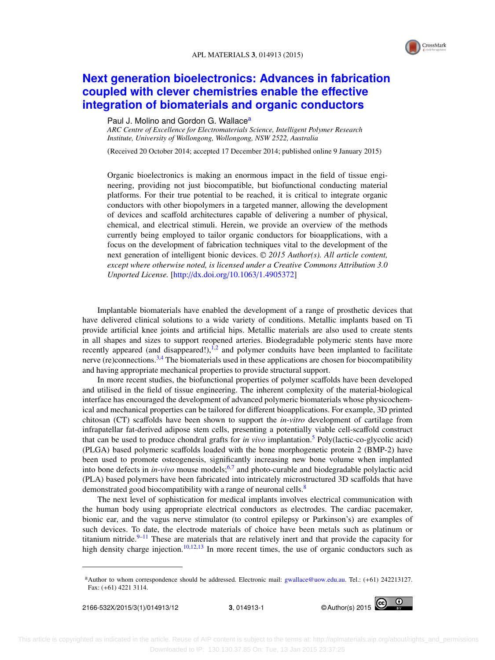

### **[Next generation bioelectronics: Advances in fabrication](http://dx.doi.org/10.1063/1.4905372) [coupled with clever chemistries enable the effective](http://dx.doi.org/10.1063/1.4905372) [integration of biomaterials and organic conductors](http://dx.doi.org/10.1063/1.4905372)**

P[a](#page-3-0)ul J. Molino and Gordon G. Wallace<sup>a</sup>

*ARC Centre of Excellence for Electromaterials Science, Intelligent Polymer Research Institute, University of Wollongong, Wollongong, NSW 2522, Australia*

(Received 20 October 2014; accepted 17 December 2014; published online 9 January 2015)

Organic bioelectronics is making an enormous impact in the field of tissue engineering, providing not just biocompatible, but biofunctional conducting material platforms. For their true potential to be reached, it is critical to integrate organic conductors with other biopolymers in a targeted manner, allowing the development of devices and scaffold architectures capable of delivering a number of physical, chemical, and electrical stimuli. Herein, we provide an overview of the methods currently being employed to tailor organic conductors for bioapplications, with a focus on the development of fabrication techniques vital to the development of the next generation of intelligent bionic devices. <sup>C</sup> *2015 Author(s). All article content, except where otherwise noted, is licensed under a Creative Commons Attribution 3.0 Unported License.* [\[http:](http://dx.doi.org/10.1063/1.4905372)//[dx.doi.org](http://dx.doi.org/10.1063/1.4905372)/[10.1063](http://dx.doi.org/10.1063/1.4905372)/[1.4905372\]](http://dx.doi.org/10.1063/1.4905372)

Implantable biomaterials have enabled the development of a range of prosthetic devices that have delivered clinical solutions to a wide variety of conditions. Metallic implants based on Ti provide artificial knee joints and artificial hips. Metallic materials are also used to create stents in all shapes and sizes to support reopened arteries. Biodegradable polymeric stents have more recently appeared (and disappeared!), $\frac{1}{2}$  $\frac{1}{2}$  $\frac{1}{2}$  and polymer conduits have been implanted to facilitate nerve (re)connections.<sup>[3,](#page-12-2)[4](#page-12-3)</sup> The biomaterials used in these applications are chosen for biocompatibility and having appropriate mechanical properties to provide structural support.

In more recent studies, the biofunctional properties of polymer scaffolds have been developed and utilised in the field of tissue engineering. The inherent complexity of the material-biological interface has encouraged the development of advanced polymeric biomaterials whose physicochemical and mechanical properties can be tailored for different bioapplications. For example, 3D printed chitosan (CT) scaffolds have been shown to support the *in-vitro* development of cartilage from infrapatellar fat-derived adipose stem cells, presenting a potentially viable cell-scaffold construct that can be used to produce chondral grafts for *in vivo* implantation.[5](#page-12-4) Poly(lactic-co-glycolic acid) (PLGA) based polymeric scaffolds loaded with the bone morphogenetic protein 2 (BMP-2) have been used to promote osteogenesis, significantly increasing new bone volume when implanted into bone defects in *in-vivo* mouse models;<sup>[6,](#page-12-5)[7](#page-12-6)</sup> and photo-curable and biodegradable polylactic acid (PLA) based polymers have been fabricated into intricately microstructured 3D scaffolds that have demonstrated good biocompatibility with a range of neuronal cells.<sup>[8](#page-12-7)</sup>

The next level of sophistication for medical implants involves electrical communication with the human body using appropriate electrical conductors as electrodes. The cardiac pacemaker, bionic ear, and the vagus nerve stimulator (to control epilepsy or Parkinson's) are examples of such devices. To date, the electrode materials of choice have been metals such as platinum or titanium nitride.<sup>[9–](#page-12-8)[11](#page-12-9)</sup> These are materials that are relatively inert and that provide the capacity for high density charge injection.<sup>[10,](#page-12-10)[12](#page-12-11)[,13](#page-12-12)</sup> In more recent times, the use of organic conductors such as



<span id="page-3-0"></span>aAuthor to whom correspondence should be addressed. Electronic mail: [gwallace@uow.edu.au.](mailto:gwallace@uow.edu.au) Tel.: (+61) 242213127. Fax: (+61) 4221 3114.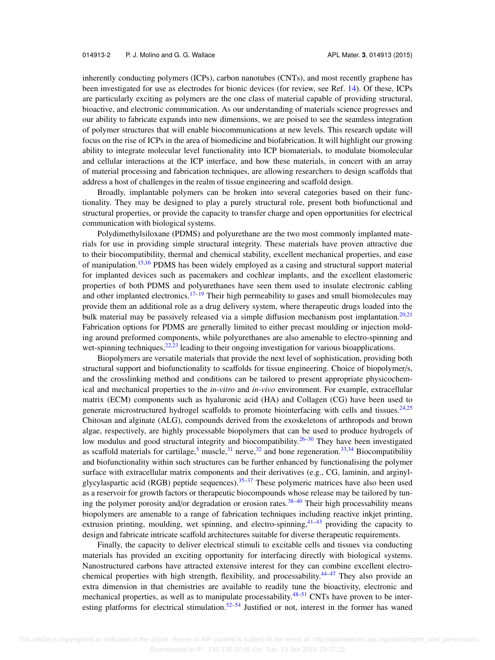inherently conducting polymers (ICPs), carbon nanotubes (CNTs), and most recently graphene has been investigated for use as electrodes for bionic devices (for review, see Ref. [14\)](#page-12-13). Of these, ICPs are particularly exciting as polymers are the one class of material capable of providing structural, bioactive, and electronic communication. As our understanding of materials science progresses and our ability to fabricate expands into new dimensions, we are poised to see the seamless integration of polymer structures that will enable biocommunications at new levels. This research update will focus on the rise of ICPs in the area of biomedicine and biofabrication. It will highlight our growing ability to integrate molecular level functionality into ICP biomaterials, to modulate biomolecular and cellular interactions at the ICP interface, and how these materials, in concert with an array of material processing and fabrication techniques, are allowing researchers to design scaffolds that address a host of challenges in the realm of tissue engineering and scaffold design.

Broadly, implantable polymers can be broken into several categories based on their functionality. They may be designed to play a purely structural role, present both biofunctional and structural properties, or provide the capacity to transfer charge and open opportunities for electrical communication with biological systems.

Polydimethylsiloxane (PDMS) and polyurethane are the two most commonly implanted materials for use in providing simple structural integrity. These materials have proven attractive due to their biocompatibility, thermal and chemical stability, excellent mechanical properties, and ease of manipulation.<sup>[15](#page-12-14)[,16](#page-12-15)</sup> PDMS has been widely employed as a casing and structural support material for implanted devices such as pacemakers and cochlear implants, and the excellent elastomeric properties of both PDMS and polyurethanes have seen them used to insulate electronic cabling and other implanted electronics.<sup>[17–](#page-12-16)[19](#page-12-17)</sup> Their high permeability to gases and small biomolecules may provide them an additional role as a drug delivery system, where therapeutic drugs loaded into the bulk material may be passively released via a simple diffusion mechanism post implantation.<sup>[20](#page-12-18)[,21](#page-12-19)</sup> Fabrication options for PDMS are generally limited to either precast moulding or injection molding around preformed components, while polyurethanes are also amenable to electro-spinning and wet-spinning techniques,  $22,23$  $22,23$  leading to their ongoing investigation for various bioapplications.

Biopolymers are versatile materials that provide the next level of sophistication, providing both structural support and biofunctionality to scaffolds for tissue engineering. Choice of biopolymer/s, and the crosslinking method and conditions can be tailored to present appropriate physicochemical and mechanical properties to the *in-vitro* and *in-vivo* environment. For example, extracellular matrix (ECM) components such as hyaluronic acid (HA) and Collagen (CG) have been used to generate microstructured hydrogel scaffolds to promote biointerfacing with cells and tissues. $24,25$  $24,25$ Chitosan and alginate (ALG), compounds derived from the exoskeletons of arthropods and brown algae, respectively, are highly processable biopolymers that can be used to produce hydrogels of low modulus and good structural integrity and biocompatibility.<sup>[26–](#page-12-24)[30](#page-12-25)</sup> They have been investigated as scaffold materials for cartilage,<sup>[5](#page-12-4)</sup> muscle, $31$  nerve,  $32$  and bone regeneration. $33,34$  $33,34$  Biocompatibility and biofunctionality within such structures can be further enhanced by functionalising the polymer surface with extracellular matrix components and their derivatives (e.g., CG, laminin, and arginylglycylaspartic acid (RGB) peptide sequences).  $35-37$  $35-37$  These polymeric matrices have also been used as a reservoir for growth factors or therapeutic biocompounds whose release may be tailored by tun-ing the polymer porosity and/or degradation or erosion rates.<sup>[38](#page-13-6)[–40](#page-13-7)</sup> Their high processability means biopolymers are amenable to a range of fabrication techniques including reactive inkjet printing, extrusion printing, moulding, wet spinning, and electro-spinning,  $41-43$  $41-43$  providing the capacity to design and fabricate intricate scaffold architectures suitable for diverse therapeutic requirements.

Finally, the capacity to deliver electrical stimuli to excitable cells and tissues via conducting materials has provided an exciting opportunity for interfacing directly with biological systems. Nanostructured carbons have attracted extensive interest for they can combine excellent electro-chemical properties with high strength, flexibility, and processability.<sup>44-[47](#page-13-11)</sup> They also provide an extra dimension in that chemistries are available to readily tune the bioactivity, electronic and mechanical properties, as well as to manipulate processability. $48-51$  $48-51$  CNTs have proven to be inter-esting platforms for electrical stimulation.<sup>[52](#page-13-14)[–54](#page-13-15)</sup> Justified or not, interest in the former has waned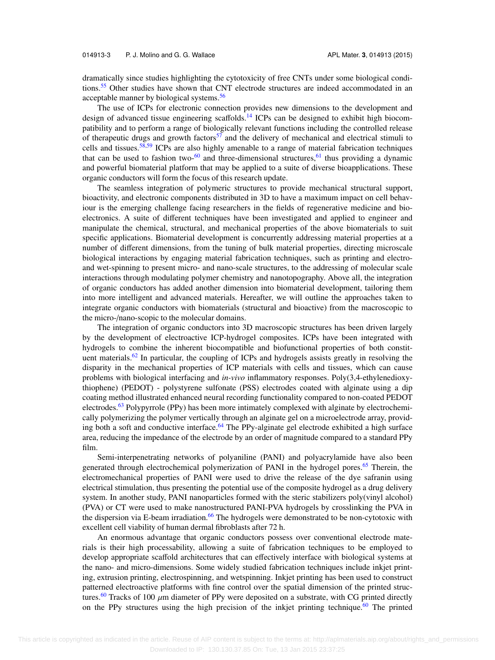dramatically since studies highlighting the cytotoxicity of free CNTs under some biological condi-tions.<sup>[55](#page-13-16)</sup> Other studies have shown that CNT electrode structures are indeed accommodated in an acceptable manner by biological systems.<sup>[56](#page-13-17)</sup>

The use of ICPs for electronic connection provides new dimensions to the development and design of advanced tissue engineering scaffolds.<sup>[14](#page-12-13)</sup> ICPs can be designed to exhibit high biocompatibility and to perform a range of biologically relevant functions including the controlled release of therapeutic drugs and growth factors<sup>[57](#page-13-18)</sup> and the delivery of mechanical and electrical stimuli to cells and tissues.[58](#page-13-19)[,59](#page-13-20) ICPs are also highly amenable to a range of material fabrication techniques that can be used to fashion two- $^{60}$  $^{60}$  $^{60}$  and three-dimensional structures, <sup>[61](#page-13-22)</sup> thus providing a dynamic and powerful biomaterial platform that may be applied to a suite of diverse bioapplications. These organic conductors will form the focus of this research update.

The seamless integration of polymeric structures to provide mechanical structural support, bioactivity, and electronic components distributed in 3D to have a maximum impact on cell behaviour is the emerging challenge facing researchers in the fields of regenerative medicine and bioelectronics. A suite of different techniques have been investigated and applied to engineer and manipulate the chemical, structural, and mechanical properties of the above biomaterials to suit specific applications. Biomaterial development is concurrently addressing material properties at a number of different dimensions, from the tuning of bulk material properties, directing microscale biological interactions by engaging material fabrication techniques, such as printing and electroand wet-spinning to present micro- and nano-scale structures, to the addressing of molecular scale interactions through modulating polymer chemistry and nanotopography. Above all, the integration of organic conductors has added another dimension into biomaterial development, tailoring them into more intelligent and advanced materials. Hereafter, we will outline the approaches taken to integrate organic conductors with biomaterials (structural and bioactive) from the macroscopic to the micro-/nano-scopic to the molecular domains.

The integration of organic conductors into 3D macroscopic structures has been driven largely by the development of electroactive ICP-hydrogel composites. ICPs have been integrated with hydrogels to combine the inherent biocompatible and biofunctional properties of both constit-uent materials.<sup>[62](#page-13-23)</sup> In particular, the coupling of ICPs and hydrogels assists greatly in resolving the disparity in the mechanical properties of ICP materials with cells and tissues, which can cause problems with biological interfacing and *in-vivo* inflammatory responses. Poly(3,4-ethylenedioxythiophene) (PEDOT) - polystyrene sulfonate (PSS) electrodes coated with alginate using a dip coating method illustrated enhanced neural recording functionality compared to non-coated PEDOT electrodes.<sup>[63](#page-13-24)</sup> Polypyrrole (PPy) has been more intimately complexed with alginate by electrochemically polymerizing the polymer vertically through an alginate gel on a microelectrode array, providing both a soft and conductive interface. $64$  The PPy-alginate gel electrode exhibited a high surface area, reducing the impedance of the electrode by an order of magnitude compared to a standard PPy film.

Semi-interpenetrating networks of polyaniline (PANI) and polyacrylamide have also been generated through electrochemical polymerization of PANI in the hydrogel pores.<sup>[65](#page-13-26)</sup> Therein, the electromechanical properties of PANI were used to drive the release of the dye safranin using electrical stimulation, thus presenting the potential use of the composite hydrogel as a drug delivery system. In another study, PANI nanoparticles formed with the steric stabilizers poly(vinyl alcohol) (PVA) or CT were used to make nanostructured PANI-PVA hydrogels by crosslinking the PVA in the dispersion via E-beam irradiation.<sup>[66](#page-13-27)</sup> The hydrogels were demonstrated to be non-cytotoxic with excellent cell viability of human dermal fibroblasts after 72 h.

An enormous advantage that organic conductors possess over conventional electrode materials is their high processability, allowing a suite of fabrication techniques to be employed to develop appropriate scaffold architectures that can effectively interface with biological systems at the nano- and micro-dimensions. Some widely studied fabrication techniques include inkjet printing, extrusion printing, electrospinning, and wetspinning. Inkjet printing has been used to construct patterned electroactive platforms with fine control over the spatial dimension of the printed struc-tures.<sup>[60](#page-13-21)</sup> Tracks of 100  $\mu$ m diameter of PPy were deposited on a substrate, with CG printed directly on the PPy structures using the high precision of the inkjet printing technique.<sup>[60](#page-13-21)</sup> The printed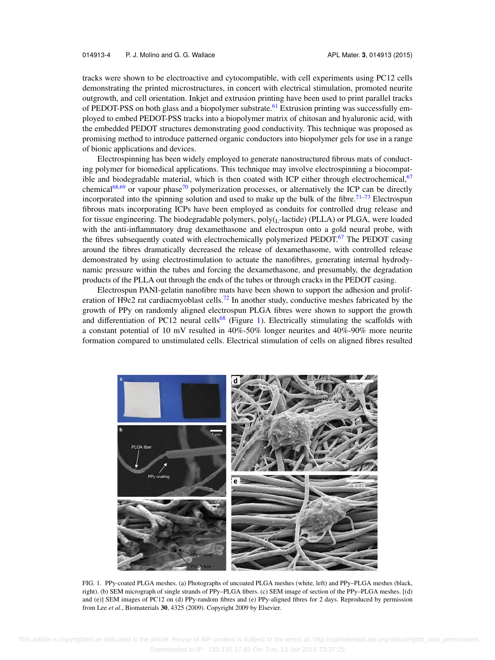tracks were shown to be electroactive and cytocompatible, with cell experiments using PC12 cells demonstrating the printed microstructures, in concert with electrical stimulation, promoted neurite outgrowth, and cell orientation. Inkjet and extrusion printing have been used to print parallel tracks of PEDOT-PSS on both glass and a biopolymer substrate.<sup>[61](#page-13-22)</sup> Extrusion printing was successfully employed to embed PEDOT-PSS tracks into a biopolymer matrix of chitosan and hyaluronic acid, with the embedded PEDOT structures demonstrating good conductivity. This technique was proposed as promising method to introduce patterned organic conductors into biopolymer gels for use in a range of bionic applications and devices.

Electrospinning has been widely employed to generate nanostructured fibrous mats of conducting polymer for biomedical applications. This technique may involve electrospinning a biocompatible and biodegradable material, which is then coated with ICP either through electrochemical,  $67$ chemical<sup>[68,](#page-13-29)[69](#page-13-30)</sup> or vapour phase<sup>[70](#page-13-31)</sup> polymerization processes, or alternatively the ICP can be directly incorporated into the spinning solution and used to make up the bulk of the fibre.<sup>[71–](#page-13-32)[73](#page-13-33)</sup> Electrospun fibrous mats incorporating ICPs have been employed as conduits for controlled drug release and for tissue engineering. The biodegradable polymers,  $poly(I<sub>L</sub>-lactic)$  (PLLA) or PLGA, were loaded with the anti-inflammatory drug dexamethasone and electrospun onto a gold neural probe, with the fibres subsequently coated with electrochemically polymerized PEDOT.<sup>[67](#page-13-28)</sup> The PEDOT casing around the fibres dramatically decreased the release of dexamethasome, with controlled release demonstrated by using electrostimulation to actuate the nanofibres, generating internal hydrodynamic pressure within the tubes and forcing the dexamethasone, and presumably, the degradation products of the PLLA out through the ends of the tubes or through cracks in the PEDOT casing.

Electrospun PANI-gelatin nanofibre mats have been shown to support the adhesion and prolif-eration of H9c2 rat cardiacmyoblast cells.<sup>[72](#page-13-34)</sup> In another study, conductive meshes fabricated by the growth of PPy on randomly aligned electrospun PLGA fibres were shown to support the growth and differentiation of PC12 neural cells<sup>[68](#page-13-29)</sup> (Figure [1\)](#page-6-0). Electrically stimulating the scaffolds with a constant potential of 10 mV resulted in 40%-50% longer neurites and 40%-90% more neurite formation compared to unstimulated cells. Electrical stimulation of cells on aligned fibres resulted

<span id="page-6-0"></span>

FIG. 1. PPy-coated PLGA meshes. (a) Photographs of uncoated PLGA meshes (white, left) and PPy–PLGA meshes (black, right). (b) SEM micrograph of single strands of PPy–PLGA fibers. (c) SEM image of section of the PPy–PLGA meshes. [(d) and (e)] SEM images of PC12 on (d) PPy-random fibres and (e) PPy-aligned fibres for 2 days. Reproduced by permission from Lee *et al.*, Biomaterials 30, 4325 (2009). Copyright 2009 by Elsevier.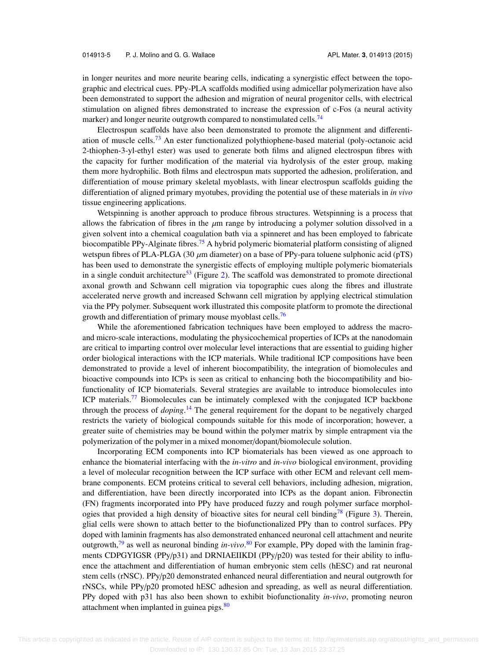in longer neurites and more neurite bearing cells, indicating a synergistic effect between the topographic and electrical cues. PPy-PLA scaffolds modified using admicellar polymerization have also been demonstrated to support the adhesion and migration of neural progenitor cells, with electrical stimulation on aligned fibres demonstrated to increase the expression of c-Fos (a neural activity marker) and longer neurite outgrowth compared to nonstimulated cells.<sup>[74](#page-13-35)</sup>

Electrospun scaffolds have also been demonstrated to promote the alignment and differentiation of muscle cells.[73](#page-13-33) An ester functionalized polythiophene-based material (poly-octanoic acid 2-thiophen-3-yl-ethyl ester) was used to generate both films and aligned electrospun fibres with the capacity for further modification of the material via hydrolysis of the ester group, making them more hydrophilic. Both films and electrospun mats supported the adhesion, proliferation, and differentiation of mouse primary skeletal myoblasts, with linear electrospun scaffolds guiding the differentiation of aligned primary myotubes, providing the potential use of these materials in *in vivo* tissue engineering applications.

Wetspinning is another approach to produce fibrous structures. Wetspinning is a process that allows the fabrication of fibres in the  $\mu$ m range by introducing a polymer solution dissolved in a given solvent into a chemical coagulation bath via a spinneret and has been employed to fabricate biocompatible PPy-Alginate fibres.<sup>[75](#page-13-36)</sup> A hybrid polymeric biomaterial platform consisting of aligned wetspun fibres of PLA-PLGA (30  $\mu$ m diameter) on a base of PPy-para toluene sulphonic acid (pTS) has been used to demonstrate the synergistic effects of employing multiple polymeric biomaterials in a single conduit architecture<sup>[53](#page-13-37)</sup> (Figure [2\)](#page-8-0). The scaffold was demonstrated to promote directional axonal growth and Schwann cell migration via topographic cues along the fibres and illustrate accelerated nerve growth and increased Schwann cell migration by applying electrical stimulation via the PPy polymer. Subsequent work illustrated this composite platform to promote the directional growth and differentiation of primary mouse myoblast cells.<sup>[76](#page-13-38)</sup>

While the aforementioned fabrication techniques have been employed to address the macroand micro-scale interactions, modulating the physicochemical properties of ICPs at the nanodomain are critical to imparting control over molecular level interactions that are essential to guiding higher order biological interactions with the ICP materials. While traditional ICP compositions have been demonstrated to provide a level of inherent biocompatibility, the integration of biomolecules and bioactive compounds into ICPs is seen as critical to enhancing both the biocompatibility and biofunctionality of ICP biomaterials. Several strategies are available to introduce biomolecules into ICP materials.<sup>[77](#page-13-39)</sup> Biomolecules can be intimately complexed with the conjugated ICP backbone through the process of *doping*. [14](#page-12-13) The general requirement for the dopant to be negatively charged restricts the variety of biological compounds suitable for this mode of incorporation; however, a greater suite of chemistries may be bound within the polymer matrix by simple entrapment via the polymerization of the polymer in a mixed monomer/dopant/biomolecule solution.

Incorporating ECM components into ICP biomaterials has been viewed as one approach to enhance the biomaterial interfacing with the *in-vitro* and *in-vivo* biological environment, providing a level of molecular recognition between the ICP surface with other ECM and relevant cell membrane components. ECM proteins critical to several cell behaviors, including adhesion, migration, and differentiation, have been directly incorporated into ICPs as the dopant anion. Fibronectin (FN) fragments incorporated into PPy have produced fuzzy and rough polymer surface morphol-ogies that provided a high density of bioactive sites for neural cell binding<sup>[78](#page-13-40)</sup> (Figure [3\)](#page-9-0). Therein, glial cells were shown to attach better to the biofunctionalized PPy than to control surfaces. PPy doped with laminin fragments has also demonstrated enhanced neuronal cell attachment and neurite outgrowth,[79](#page-13-41) as well as neuronal binding *in-vivo*. [80](#page-13-42) For example, PPy doped with the laminin fragments CDPGYIGSR (PPy/p31) and DRNIAEIIKDI (PPy/p20) was tested for their ability to influence the attachment and differentiation of human embryonic stem cells (hESC) and rat neuronal stem cells (rNSC). PPy/p20 demonstrated enhanced neural differentiation and neural outgrowth for rNSCs, while PPy/p20 promoted hESC adhesion and spreading, as well as neural differentiation. PPy doped with p31 has also been shown to exhibit biofunctionality *in-vivo*, promoting neuron attachment when implanted in guinea pigs. $\frac{80}{2}$  $\frac{80}{2}$  $\frac{80}{2}$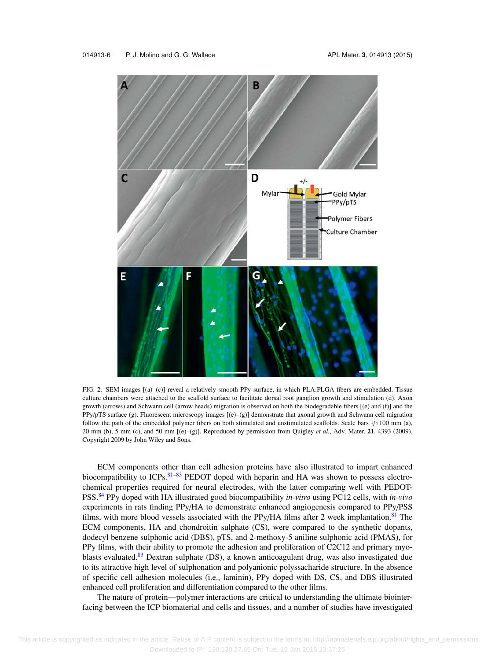<span id="page-8-0"></span>014913-6 P. J. Molino and G. G. Wallace APL Mater. **3**, 014913 (2015)



FIG. 2. SEM images [(a)–(c)] reveal a relatively smooth PPy surface, in which PLA:PLGA fibers are embedded. Tissue culture chambers were attached to the scaffold surface to facilitate dorsal root ganglion growth and stimulation (d). Axon growth (arrows) and Schwann cell (arrow heads) migration is observed on both the biodegradable fibers [(e) and (f)] and the PPy/pTS surface (g). Fluorescent microscopy images [(e)–(g)] demonstrate that axonal growth and Schwann cell migration follow the path of the embedded polymer fibers on both stimulated and unstimulated scaffolds. Scale bars  $\frac{1}{4}$  100 mm (a), 20 mm (b), 5 mm (c), and 50 mm [(e)–(g)]. Reproduced by permission from Quigley *et al.*, Adv. Mater. 21, 4393 (2009). Copyright 2009 by John Wiley and Sons.

ECM components other than cell adhesion proteins have also illustrated to impart enhanced biocompatibility to ICPs.<sup>[81](#page-13-43)-83</sup> PEDOT doped with heparin and HA was shown to possess electrochemical properties required for neural electrodes, with the latter comparing well with PEDOT-PSS.[84](#page-13-45) PPy doped with HA illustrated good biocompatibility *in-vitro* using PC12 cells, with *in-vivo* experiments in rats finding PPy/HA to demonstrate enhanced angiogenesis compared to PPy/PSS films, with more blood vessels associated with the PPy/HA films after 2 week implantation.<sup>[81](#page-13-43)</sup> The ECM components, HA and chondroitin sulphate (CS), were compared to the synthetic dopants, dodecyl benzene sulphonic acid (DBS), pTS, and 2-methoxy-5 aniline sulphonic acid (PMAS), for PPy films, with their ability to promote the adhesion and proliferation of C2C12 and primary myoblasts evaluated.[83](#page-13-44) Dextran sulphate (DS), a known anticoagulant drug, was also investigated due to its attractive high level of sulphonation and polyanionic polyssacharide structure. In the absence of specific cell adhesion molecules (i.e., laminin), PPy doped with DS, CS, and DBS illustrated enhanced cell proliferation and differentiation compared to the other films.

The nature of protein—polymer interactions are critical to understanding the ultimate biointerfacing between the ICP biomaterial and cells and tissues, and a number of studies have investigated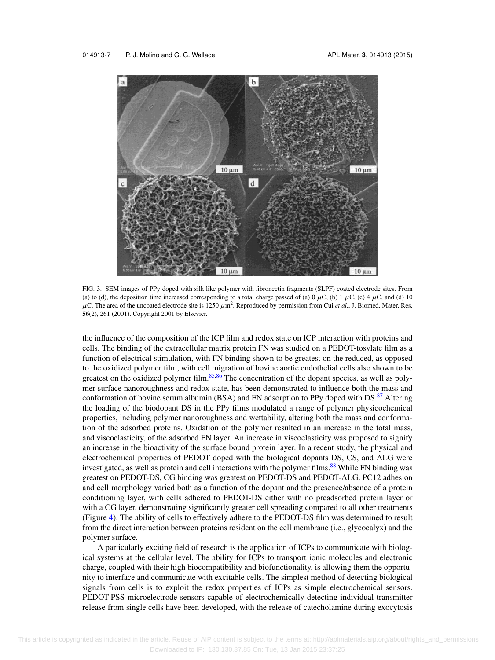<span id="page-9-0"></span>

FIG. 3. SEM images of PPy doped with silk like polymer with fibronectin fragments (SLPF) coated electrode sites. From (a) to (d), the deposition time increased corresponding to a total charge passed of (a)  $0 \mu C$ , (b)  $1 \mu C$ , (c)  $4 \mu C$ , and (d) 10  $\mu$ C. The area of the uncoated electrode site is 1250  $\mu$ m<sup>2</sup>. Reproduced by permission from Cui *et al.*, J. Biomed. Mater. Res.<br>56(2) 261 (2001) Convright 2001 by Elegyier. 56(2), 261 (2001). Copyright 2001 by Elsevier.

the influence of the composition of the ICP film and redox state on ICP interaction with proteins and cells. The binding of the extracellular matrix protein FN was studied on a PEDOT-tosylate film as a function of electrical stimulation, with FN binding shown to be greatest on the reduced, as opposed to the oxidized polymer film, with cell migration of bovine aortic endothelial cells also shown to be greatest on the oxidized polymer film. $85,86$  $85,86$  The concentration of the dopant species, as well as polymer surface nanoroughness and redox state, has been demonstrated to influence both the mass and conformation of bovine serum albumin (BSA) and FN adsorption to PPy doped with  $DS^{87}$  $DS^{87}$  $DS^{87}$  Altering the loading of the biodopant DS in the PPy films modulated a range of polymer physicochemical properties, including polymer nanoroughness and wettability, altering both the mass and conformation of the adsorbed proteins. Oxidation of the polymer resulted in an increase in the total mass, and viscoelasticity, of the adsorbed FN layer. An increase in viscoelasticity was proposed to signify an increase in the bioactivity of the surface bound protein layer. In a recent study, the physical and electrochemical properties of PEDOT doped with the biological dopants DS, CS, and ALG were investigated, as well as protein and cell interactions with the polymer films.<sup>[88](#page-13-49)</sup> While FN binding was greatest on PEDOT-DS, CG binding was greatest on PEDOT-DS and PEDOT-ALG. PC12 adhesion and cell morphology varied both as a function of the dopant and the presence/absence of a protein conditioning layer, with cells adhered to PEDOT-DS either with no preadsorbed protein layer or with a CG layer, demonstrating significantly greater cell spreading compared to all other treatments (Figure [4\)](#page-10-0). The ability of cells to effectively adhere to the PEDOT-DS film was determined to result from the direct interaction between proteins resident on the cell membrane (i.e., glycocalyx) and the polymer surface.

A particularly exciting field of research is the application of ICPs to communicate with biological systems at the cellular level. The ability for ICPs to transport ionic molecules and electronic charge, coupled with their high biocompatibility and biofunctionality, is allowing them the opportunity to interface and communicate with excitable cells. The simplest method of detecting biological signals from cells is to exploit the redox properties of ICPs as simple electrochemical sensors. PEDOT-PSS microelectrode sensors capable of electrochemically detecting individual transmitter release from single cells have been developed, with the release of catecholamine during exocytosis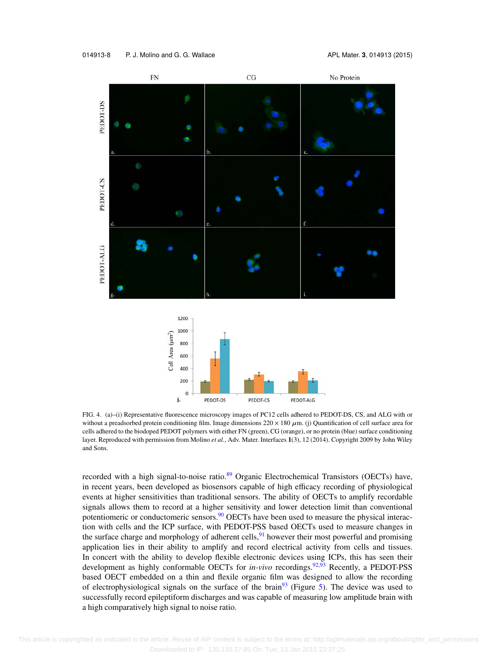<span id="page-10-0"></span>

FIG. 4. (a)–(i) Representative fluorescence microscopy images of PC12 cells adhered to PEDOT-DS, CS, and ALG with or without a preadsorbed protein conditioning film. Image dimensions  $220 \times 180 \ \mu$ m. (j) Quantification of cell surface area for cells adhered to the biodoped PEDOT polymers with either FN (green), CG (orange), or no protein (blue) surface conditioning layer. Reproduced with permission from Molino *et al.*, Adv. Mater. Interfaces 1(3), 12 (2014). Copyright 2009 by John Wiley and Sons.

recorded with a high signal-to-noise ratio.<sup>[89](#page-14-0)</sup> Organic Electrochemical Transistors (OECTs) have, in recent years, been developed as biosensors capable of high efficacy recording of physiological events at higher sensitivities than traditional sensors. The ability of OECTs to amplify recordable signals allows them to record at a higher sensitivity and lower detection limit than conventional potentiomeric or conductomeric sensors.<sup>[90](#page-14-1)</sup> OECTs have been used to measure the physical interaction with cells and the ICP surface, with PEDOT-PSS based OECTs used to measure changes in the surface charge and morphology of adherent cells,  $91$  however their most powerful and promising application lies in their ability to amplify and record electrical activity from cells and tissues. In concert with the ability to develop flexible electronic devices using ICPs, this has seen their development as highly conformable OECTs for *in-vivo* recordings.<sup>[92](#page-14-3)[,93](#page-14-4)</sup> Recently, a PEDOT-PSS based OECT embedded on a thin and flexile organic film was designed to allow the recording of electrophysiological signals on the surface of the brain<sup>[93](#page-14-4)</sup> (Figure [5\)](#page-11-0). The device was used to successfully record epileptiform discharges and was capable of measuring low amplitude brain with a high comparatively high signal to noise ratio.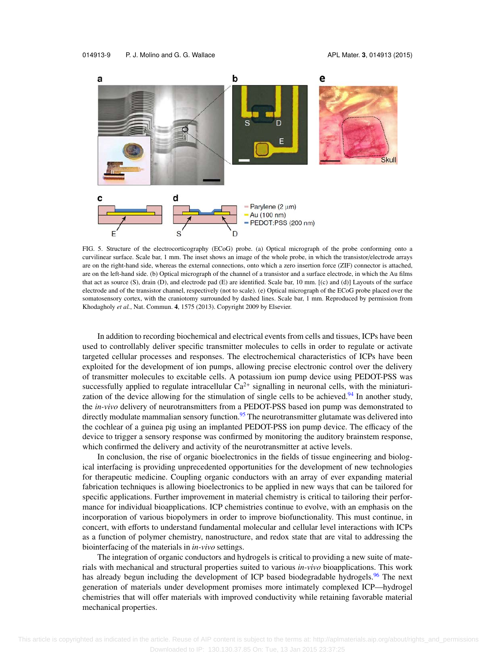<span id="page-11-0"></span>

FIG. 5. Structure of the electrocorticography (ECoG) probe. (a) Optical micrograph of the probe conforming onto a curvilinear surface. Scale bar, 1 mm. The inset shows an image of the whole probe, in which the transistor/electrode arrays are on the right-hand side, whereas the external connections, onto which a zero insertion force (ZIF) connector is attached, are on the left-hand side. (b) Optical micrograph of the channel of a transistor and a surface electrode, in which the Au films that act as source (S), drain (D), and electrode pad (E) are identified. Scale bar, 10 mm. [(c) and (d)] Layouts of the surface electrode and of the transistor channel, respectively (not to scale). (e) Optical micrograph of the ECoG probe placed over the somatosensory cortex, with the craniotomy surrounded by dashed lines. Scale bar, 1 mm. Reproduced by permission from Khodagholy *et al.*, Nat. Commun. 4, 1575 (2013). Copyright 2009 by Elsevier.

In addition to recording biochemical and electrical events from cells and tissues, ICPs have been used to controllably deliver specific transmitter molecules to cells in order to regulate or activate targeted cellular processes and responses. The electrochemical characteristics of ICPs have been exploited for the development of ion pumps, allowing precise electronic control over the delivery of transmitter molecules to excitable cells. A potassium ion pump device using PEDOT-PSS was successfully applied to regulate intracellular  $Ca^{2+}$  signalling in neuronal cells, with the miniaturi-zation of the device allowing for the stimulation of single cells to be achieved.<sup>[94](#page-14-5)</sup> In another study, the *in-vivo* delivery of neurotransmitters from a PEDOT-PSS based ion pump was demonstrated to directly modulate mammalian sensory function.<sup>[95](#page-14-6)</sup> The neurotransmitter glutamate was delivered into the cochlear of a guinea pig using an implanted PEDOT-PSS ion pump device. The efficacy of the device to trigger a sensory response was confirmed by monitoring the auditory brainstem response, which confirmed the delivery and activity of the neurotransmitter at active levels.

In conclusion, the rise of organic bioelectronics in the fields of tissue engineering and biological interfacing is providing unprecedented opportunities for the development of new technologies for therapeutic medicine. Coupling organic conductors with an array of ever expanding material fabrication techniques is allowing bioelectronics to be applied in new ways that can be tailored for specific applications. Further improvement in material chemistry is critical to tailoring their performance for individual bioapplications. ICP chemistries continue to evolve, with an emphasis on the incorporation of various biopolymers in order to improve biofunctionality. This must continue, in concert, with efforts to understand fundamental molecular and cellular level interactions with ICPs as a function of polymer chemistry, nanostructure, and redox state that are vital to addressing the biointerfacing of the materials in *in-vivo* settings.

The integration of organic conductors and hydrogels is critical to providing a new suite of materials with mechanical and structural properties suited to various *in-vivo* bioapplications. This work has already begun including the development of ICP based biodegradable hydrogels.<sup>[96](#page-14-7)</sup> The next generation of materials under development promises more intimately complexed ICP—hydrogel chemistries that will offer materials with improved conductivity while retaining favorable material mechanical properties.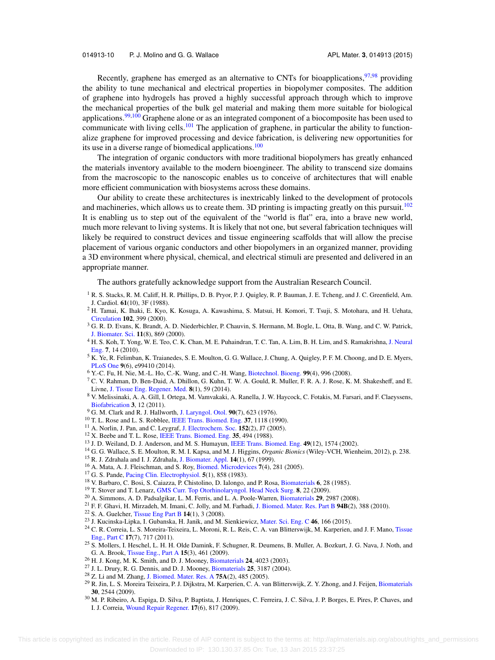Recently, graphene has emerged as an alternative to CNTs for bioapplications,  $97,98$  $97,98$  providing the ability to tune mechanical and electrical properties in biopolymer composites. The addition of graphene into hydrogels has proved a highly successful approach through which to improve the mechanical properties of the bulk gel material and making them more suitable for biological applications.<sup>[99,](#page-14-10)[100](#page-14-11)</sup> Graphene alone or as an integrated component of a biocomposite has been used to communicate with living cells.<sup>[101](#page-14-12)</sup> The application of graphene, in particular the ability to functionalize graphene for improved processing and device fabrication, is delivering new opportunities for its use in a diverse range of biomedical applications.<sup>[100](#page-14-11)</sup>

The integration of organic conductors with more traditional biopolymers has greatly enhanced the materials inventory available to the modern bioengineer. The ability to transcend size domains from the macroscopic to the nanoscopic enables us to conceive of architectures that will enable more efficient communication with biosystems across these domains.

Our ability to create these architectures is inextricably linked to the development of protocols and machineries, which allows us to create them. 3D printing is impacting greatly on this pursuit.<sup>[102](#page-14-13)</sup> It is enabling us to step out of the equivalent of the "world is flat" era, into a brave new world, much more relevant to living systems. It is likely that not one, but several fabrication techniques will likely be required to construct devices and tissue engineering scaffolds that will allow the precise placement of various organic conductors and other biopolymers in an organized manner, providing a 3D environment where physical, chemical, and electrical stimuli are presented and delivered in an appropriate manner.

The authors gratefully acknowledge support from the Australian Research Council.

- <span id="page-12-0"></span><sup>1</sup> R. S. Stacks, R. M. Califf, H. R. Phillips, D. B. Pryor, P. J. Quigley, R. P. Bauman, J. E. Tcheng, and J. C. Greenfield, Am. J. Cardiol. 61(10), 3F (1988).
- <span id="page-12-1"></span><sup>2</sup> H. Tamai, K. Ihaki, E. Kyo, K. Kosuga, A. Kawashima, S. Matsui, H. Komori, T. Tsuji, S. Motohara, and H. Uehata, [Circulation](http://dx.doi.org/10.1161/01.CIR.102.4.399) 102, 399 (2000).
- <span id="page-12-2"></span><sup>3</sup> G. R. D. Evans, K. Brandt, A. D. Niederbichler, P. Chauvin, S. Hermann, M. Bogle, L. Otta, B. Wang, and C. W. Patrick, [J. Biomater. Sci.](http://dx.doi.org/10.1163/156856200744066) 11(8), 869 (2000).
- <span id="page-12-3"></span><sup>4</sup> H. S. Koh, T. Yong, W. E. Teo, C. K. Chan, M. E. Puhaindran, T. C. Tan, A. Lim, B. H. Lim, and S. Ramakrishna, [J. Neural](http://dx.doi.org/10.1088/1741-2560/7/4/046003) [Eng.](http://dx.doi.org/10.1088/1741-2560/7/4/046003) 7, 14 (2010).
- <span id="page-12-4"></span><sup>5</sup> K. Ye, R. Felimban, K. Traianedes, S. E. Moulton, G. G. Wallace, J. Chung, A. Quigley, P. F. M. Choong, and D. E. Myers, [PLoS One](http://dx.doi.org/10.1371/journal.pone.0099410) 9(6), e99410 (2014).
- <span id="page-12-5"></span><sup>6</sup> Y.-C. Fu, H. Nie, M.-L. Ho, C.-K. Wang, and C.-H. Wang, [Biotechnol. Bioeng.](http://dx.doi.org/10.1002/bit.21648) 99(4), 996 (2008).
- <span id="page-12-6"></span><sup>7</sup> C. V. Rahman, D. Ben-Daid, A. Dhillon, G. Kuhn, T. W. A. Gould, R. Muller, F. R. A. J. Rose, K. M. Shakesheff, and E. Livne, [J. Tissue Eng. Regener. Med.](http://dx.doi.org/10.1002/term.1497) 8(1), 59 (2014).
- <span id="page-12-7"></span><sup>8</sup> V. Melissinaki, A. A. Gill, I. Ortega, M. Vamvakaki, A. Ranella, J. W. Haycock, C. Fotakis, M. Farsari, and F. Claeyssens, [Biofabrication](http://dx.doi.org/10.1088/1758-5082/3/4/045005) 3, 12 (2011).
- <span id="page-12-8"></span><sup>9</sup> G. M. Clark and R. J. Hallworth, [J. Laryngol. Otol.](http://dx.doi.org/10.1017/s0022215100082529) 90(7), 623 (1976).
- <span id="page-12-10"></span><sup>10</sup> T. L. Rose and L. S. Robblee, [IEEE Trans. Biomed. Eng.](http://dx.doi.org/10.1109/10.61038) 37, 1118 (1990).
- <span id="page-12-9"></span><sup>11</sup> A. Norlin, J. Pan, and C. Leygraf, [J. Electrochem. Soc.](http://dx.doi.org/10.1149/1.1842092) **152**(2), J7 (2005).
- <span id="page-12-11"></span><sup>12</sup> X. Beebe and T. L. Rose, [IEEE Trans. Biomed. Eng.](http://dx.doi.org/10.1109/10.2122) 35, 494 (1988).
- <span id="page-12-12"></span><sup>13</sup> J. D. Weiland, D. J. Anderson, and M. S. Humayun, [IEEE Trans. Biomed. Eng.](http://dx.doi.org/10.1109/tbme.2002.805487) 49(12), 1574 (2002).
- <span id="page-12-13"></span><sup>14</sup> G. G. Wallace, S. E. Moulton, R. M. I. Kapsa, and M. J. Higgins, *Organic Bionics* (Wiley-VCH, Wienheim, 2012), p. 238.
- <span id="page-12-14"></span><sup>15</sup> R. J. Zdrahala and I. J. Zdrahala, [J. Biomater. Appl.](http://dx.doi.org/10.1177/088532829901400104) 14(1), 67 (1999).
- <span id="page-12-15"></span><sup>16</sup> A. Mata, A. J. Fleischman, and S. Roy, [Biomed. Microdevices](http://dx.doi.org/10.1007/s10544-005-6070-2) 7(4), 281 (2005).
- <span id="page-12-16"></span> $17$  G. S. Pande, [Pacing Clin. Electrophysiol.](http://dx.doi.org/10.1111/j.1540-8159.1983.tb04406.x) 5(1), 858 (1983).
- <sup>18</sup> V. Barbaro, C. Bosi, S. Caiazza, P. Chistolino, D. Ialongo, and P. Rosa, [Biomaterials](http://dx.doi.org/10.1016/0142-9612(85)90034-1) 6, 28 (1985).
- <span id="page-12-17"></span><sup>19</sup> T. Stover and T. Lenarz, [GMS Curr. Top Otorhinolaryngol. Head Neck Surg.](http://dx.doi.org/10.3205/cto000062) 8, 22 (2009).
- <span id="page-12-18"></span><sup>20</sup> A. Simmons, A. D. Padsalgikar, L. M. Ferris, and L. A. Poole-Warren, [Biomaterials](http://dx.doi.org/10.1016/j.biomaterials.2008.04.007) **29**, 2987 (2008).
- <span id="page-12-19"></span><sup>21</sup> F. F. Ghavi, H. Mirzadeh, M. Imani, C. Jolly, and M. Farhadi, [J. Biomed. Mater. Res. Part B](http://dx.doi.org/10.1002/jbm.b.31666) 94B(2), 388 (2010).
- <span id="page-12-20"></span><sup>22</sup> S. A. Guelcher, [Tissue Eng Part B](http://dx.doi.org/10.1089/teb.2007. 0133)  $14(1)$ , 3 (2008).
- <span id="page-12-21"></span><sup>23</sup> J. Kucinska-Lipka, I. Gubanska, H. Janik, and M. Sienkiewicz, [Mater. Sci. Eng. C](http://dx.doi.org/10.1016/j.msec.2014.10.027) 46, 166 (2015).
- <span id="page-12-22"></span><sup>24</sup> C. R. Correia, L. S. Moreira-Teixeira, L. Moroni, R. L. Reis, C. A. van Blitterswijk, M. Karperien, and J. F. Mano, [Tissue](http://dx.doi.org/10.1089/ten.tec.2010.0467) [Eng., Part C](http://dx.doi.org/10.1089/ten.tec.2010.0467) 17(7), 717 (2011).
- <span id="page-12-23"></span><sup>25</sup> S. Mollers, I. Heschel, L. H. H. Olde Damink, F. Schugner, R. Deumens, B. Muller, A. Bozkurt, J. G. Nava, J. Noth, and G. A. Brook, [Tissue Eng., Part A](http://dx.doi.org/10.1089/ten.tea.2007.0107) 15(3), 461 (2009).
- <span id="page-12-24"></span><sup>26</sup> H. J. Kong, M. K. Smith, and D. J. Mooney, [Biomaterials](http://dx.doi.org/10.1016/S0142-9612(03)00295-3) 24, 4023 (2003).
- $27$  J. L. Drury, R. G. Dennis, and D. J. Mooney, [Biomaterials](http://dx.doi.org/10.1016/j.biomaterials.2003.10.002) 25, 3187 (2004).
- <sup>28</sup> Z. Li and M. Zhang, [J. Biomed. Mater. Res. A](http://dx.doi.org/10.1002/jbm.a.30449) 75A(2), 485 (2005).
- <sup>29</sup> R. Jin, L. S. Moreira Teixeira, P. J. Dijkstra, M. Karperien, C. A. van Blitterswijk, Z. Y. Zhong, and J. Feijen, [Biomaterials](http://dx.doi.org/10.1016/j.biomaterials.2009.01.020) 30, 2544 (2009).
- <span id="page-12-25"></span><sup>30</sup> M. P. Ribeiro, A. Espiga, D. Silva, P. Baptista, J. Henriques, C. Ferreira, J. C. Silva, J. P. Borges, E. Pires, P. Chaves, and I. J. Correia, [Wound Repair Regener.](http://dx.doi.org/10.1111/j.1524-475X.2009.00538.x) 17(6), 817 (2009).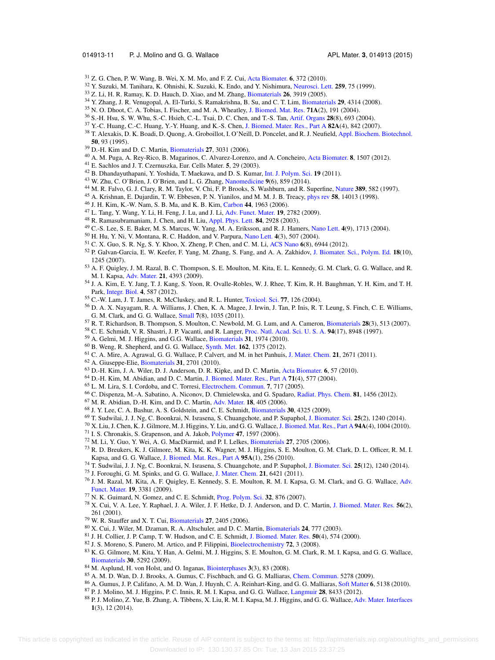- <span id="page-13-0"></span>Z. G. Chen, P. W. Wang, B. Wei, X. M. Mo, and F. Z. Cui, [Acta Biomater.](http://dx.doi.org/10.1016/j.actbio.2009.07.024) 6, 372 (2010).
- <span id="page-13-1"></span><sup>32</sup> Y. Suzuki, M. Tanihara, K. Ohnishi, K. Suzuki, K. Endo, and Y. Nishimura, [Neurosci. Lett.](http://dx.doi.org/10.1016/S0304-3940(98)00924-0) 259, 75 (1999).
- <span id="page-13-2"></span><sup>33</sup> Z. Li, H. R. Ramay, K. D. Hauch, D. Xiao, and M. Zhang, [Biomaterials](http://dx.doi.org/10.1016/j.biomaterials.2004.09.062) **26**, 3919 (2005).
- <span id="page-13-3"></span>Y. Zhang, J. R. Venugopal, A. El-Turki, S. Ramakrishna, B. Su, and C. T. Lim, [Biomaterials](http://dx.doi.org/10.1016/j.biomaterials.2008.07.038) 29, 4314 (2008).
- <span id="page-13-4"></span>N. O. Dhoot, C. A. Tobias, I. Fischer, and M. A. Wheatley, [J. Biomed. Mat. Res.](http://dx.doi.org/10.1002/jbm.a.30103) 71A(2), 191 (2004).
- S.-H. Hsu, S. W. Whu, S.-C. Hsieh, C.-L. Tsai, D. C. Chen, and T.-S. Tan, [Artif. Organs](http://dx.doi.org/10.1111/j.1525-1594.2004.00046.x) 28(8), 693 (2004).
- <span id="page-13-5"></span>Y.-C. Huang, C.-C. Huang, Y.-Y. Huang, and K.-S. Chen, [J. Biomed. Mater. Res., Part A](http://dx.doi.org/10.1002/jbm.a.31036) 82A(4), 842 (2007).
- <span id="page-13-6"></span>T. Alexakis, D. K. Boadi, D. Quong, A. Groboillot, I. O'Neill, D. Poncelet, and R. J. Neufield, [Appl. Biochem. Biotechnol.](http://dx.doi.org/10.1007/BF02788043)
- , 93 (1995). D.-H. Kim and D. C. Martin, [Biomaterials](http://dx.doi.org/10.1016/j.biomaterials.2005.12.021) 27, 3031 (2006).
- <span id="page-13-7"></span>A. M. Puga, A. Rey-Rico, B. Magarinos, C. Alvarez-Lorenzo, and A. Concheiro, [Acta Biomater.](http://dx.doi.org/10.1016/j.actbio.2011.12.020) 8, 1507 (2012).
- <span id="page-13-8"></span>E. Sachlos and J. T. Czernuszka, Eur. Cells Mater. 5, 29 (2003).
- <sup>42</sup> B. Dhandayuthapani, Y. Yoshida, T. Maekawa, and D. S. Kumar, [Int. J. Polym. Sci.](http://dx.doi.org/10.1155/2011/290602) 19 (2011).
- <span id="page-13-9"></span>W. Zhu, C. O'Brien, J. O'Brien, and L. G. Zhang, [Nanomedicine](http://dx.doi.org/10.2217/nnm.14.36) 9(6), 859 (2014).
- <span id="page-13-10"></span>M. R. Falvo, G. J. Clary, R. M. Taylor, V. Chi, F. P. Brooks, S. Washburn, and R. Superfine, [Nature](http://dx.doi.org/10.1038/39282) 389, 582 (1997).
- A. Krishnan, E. Dujardin, T. W. Ebbesen, P. N. Yianilos, and M. M. J. B. Treacy, [phys rev](http://dx.doi.org/10.1103/PhysRevB.58.14013) 58, 14013 (1998).
- J. H. Kim, K.-W. Nam, S. B. Ma, and K. B. Kim, [Carbon](http://dx.doi.org/10.1016/j.carbon.2006.02.002) 44, 1963 (2006).
- <span id="page-13-11"></span>L. Tang, Y. Wang, Y. Li, H. Feng, J. Lu, and J. Li, [Adv. Funct. Mater.](http://dx.doi.org/10.1002/adfm.200900377) 19, 2782 (2009).
- <span id="page-13-12"></span>R. Ramasubramaniam, J. Chen, and H. Liu, [Appl. Phys. Lett.](http://dx.doi.org/10.1063/1.1616976) 84, 2928 (2003).
- <sup>49</sup> C.-S. Lee, S. E. Baker, M. S. Marcus, W. Yang, M. A. Eriksson, and R. J. Hamers, [Nano Lett.](http://dx.doi.org/10.1021/nl048995x) 4(9), 1713 (2004).
- H. Hu, Y. Ni, V. Montana, R. C. Haddon, and V. Parpura, [Nano Lett.](http://dx.doi.org/10.1021/nl035193d) 4(3), 507 (2004).
- <span id="page-13-13"></span>C. X. Guo, S. R. Ng, S. Y. Khoo, X. Zheng, P. Chen, and C. M. Li, [ACS Nano](http://dx.doi.org/10.1021/nn301974u) 6(8), 6944 (2012).
- <span id="page-13-14"></span> P. Galvan-Garcia, E. W. Keefer, F. Yang, M. Zhang, S. Fang, and A. A. Zakhidov, [J. Biomater. Sci., Polym. Ed.](http://dx.doi.org/10.1163/156856207782177891) 18(10), 1245 (2007).
- <span id="page-13-37"></span> A. F. Quigley, J. M. Razal, B. C. Thompson, S. E. Moulton, M. Kita, E. L. Kennedy, G. M. Clark, G. G. Wallace, and R. M. I. Kapsa, [Adv. Mater.](http://dx.doi.org/10.1002/adma.200901165) 21, 4393 (2009).
- <span id="page-13-15"></span> J. A. Kim, E. Y. Jang, T. J. Kang, S. Yoon, R. Ovalle-Robles, W. J. Rhee, T. Kim, R. H. Baughman, Y. H. Kim, and T. H. Park, [Integr. Biol.](http://dx.doi.org/10.1039/c2ib20017a) 4, 587 (2012).
- <span id="page-13-16"></span>C.-W. Lam, J. T. James, R. McCluskey, and R. L. Hunter, [Toxicol. Sci.](http://dx.doi.org/10.1093/toxsci/kfg243) 77, 126 (2004).
- <span id="page-13-17"></span> D. A. X. Nayagam, R. A. Williams, J. Chen, K. A. Magee, J. Irwin, J. Tan, P. Inis, R. T. Leung, S. Finch, C. E. Williams, G. M. Clark, and G. G. Wallace, [Small](http://dx.doi.org/10.1002/smll.201002083) 7(8), 1035 (2011).
- <span id="page-13-18"></span>R. T. Richardson, B. Thompson, S. Moulton, C. Newbold, M. G. Lum, and A. Cameron, [Biomaterials](http://dx.doi.org/10.1016/j.biomaterials.2006.09.008) 28(3), 513 (2007).
- <span id="page-13-19"></span>C. E. Schmidt, V. R. Shastri, J. P. Vacanti, and R. Langer, [Proc. Natl. Acad. Sci. U. S. A.](http://dx.doi.org/10.1073/pnas.94.17.8948) 94(17), 8948 (1997).
- <span id="page-13-20"></span>A. Gelmi, M. J. Higgins, and G.G. Wallace, [Biomaterials](http://dx.doi.org/10.1016/j.biomaterials.2009.11.040) 31, 1974 (2010).
- <span id="page-13-21"></span>B. Weng, R. Shepherd, and G. G. Wallace, [Synth. Met.](http://dx.doi.org/10.1016/j.synthmet.2012.05.022) 162, 1375 (2012).
- <span id="page-13-22"></span>C. A. Mire, A. Agrawal, G. G. Wallace, P. Calvert, and M. in het Panhuis, [J. Mater. Chem.](http://dx.doi.org/10.1039/c0jm03587d) 21, 2671 (2011).
- <span id="page-13-23"></span>A. Giuseppe-Elie, [Biomaterials](http://dx.doi.org/10.1016/j.biomaterials.2009.12.052) 31, 2701 (2010).
- <span id="page-13-24"></span>D.-H. Kim, J. A. Wiler, D. J. Anderson, D. R. Kipke, and D. C. Martin, [Acta Biomater.](http://dx.doi.org/10.1016/j.actbio.2009.07.034) 6, 57 (2010).
- <span id="page-13-25"></span>D.-H. Kim, M. Abidian, and D. C. Martin, [J. Biomed. Mater. Res., Part A](http://dx.doi.org/10.1002/jbm.a.30124) 71(4), 577 (2004).
- <span id="page-13-26"></span>L. M. Lira, S. I. Cordoba, and C. Torresi, [Electrochem. Commun.](http://dx.doi.org/10.1016/j.elecom.2005.04.027) 7, 717 (2005).
- <span id="page-13-27"></span>C. Dispenza, M.-A. Sabatino, A. Niconov, D. Chmielewska, and G. Spadaro, [Radiat. Phys. Chem.](http://dx.doi.org/10.1016/j.radphyschem.2011.11.043) 81, 1456 (2012).
- <span id="page-13-28"></span>M. R. Abidian, D.-H. Kim, and D. C. Martin, [Adv. Mater.](http://dx.doi.org/10.1002/adma.200501726) 18, 405 (2006).
- <span id="page-13-29"></span>J. Y. Lee, C. A. Bashur, A. S. Goldstein, and C. E. Schmidt, [Biomaterials](http://dx.doi.org/10.1016/j.biomaterials.2009.04.042) 30, 4325 (2009).
- <span id="page-13-30"></span>T. Sudwilai, J. J. Ng, C. Boonkrai, N. Israsena, S. Chuangchote, and P. Supaphol, [J. Biomater. Sci.](http://dx.doi.org/10.1080/09205063.2014.926578) 25(2), 1240 (2014).
- <span id="page-13-31"></span>X. Liu, J. Chen, K. J. Gilmore, M. J. Higgins, Y. Liu, and G. G. Wallace, [J. Biomed. Mat. Res., Part A](http://dx.doi.org/10.1002/jbm.a.32675) 94A(4), 1004 (2010).
- <span id="page-13-32"></span>I. S. Chronakis, S. Grapenson, and A. Jakob, [Polymer](http://dx.doi.org/10.1016/j.polymer.2006.01.032) 47, 1597 (2006).
- <span id="page-13-34"></span>M. Li, Y. Guo, Y. Wei, A. G. MacDiarmid, and P. I. Lelkes, [Biomaterials](http://dx.doi.org/10.1016/j.biomaterials.2005.11.037) 27, 2705 (2006).
- <span id="page-13-33"></span> R. D. Breukers, K. J. Gilmore, M. Kita, K. K. Wagner, M. J. Higgins, S. E. Moulton, G. M. Clark, D. L. Officer, R. M. I. Kapsa, and G. G. Wallace, [J. Biomed. Mat. Res., Part A](http://dx.doi.org/10.1002/jbm.a.32822) 95A(1), 256 (2010).
- <span id="page-13-35"></span>T. Sudwilai, J. J. Ng, C. Boonkrai, N. Israsena, S. Chuangchote, and P. Supaphol, [J. Biomater. Sci.](http://dx.doi.org/10.1080/09205063.2014.926578) 25(12), 1240 (2014).
- <span id="page-13-36"></span>J. Foroughi, G. M. Spinks, and G. G. Wallace, [J. Mater. Chem.](http://dx.doi.org/10.1039/c0jm04406g) 21, 6421 (2011).
- <span id="page-13-38"></span> J. M. Razal, M. Kita, A. F. Quigley, E. Kennedy, S. E. Moulton, R. M. I. Kapsa, G. M. Clark, and G. G. Wallace, [Adv.](http://dx.doi.org/10.1002/adfm.200900464) [Funct. Mater.](http://dx.doi.org/10.1002/adfm.200900464) 19, 3381 (2009).
- <span id="page-13-39"></span>N. K. Guimard, N. Gomez, and C. E. Schmidt, [Prog. Polym. Sci.](http://dx.doi.org/10.1016/j.progpolymsci.2007.05.012) 32, 876 (2007).
- <span id="page-13-40"></span> X. Cui, V. A. Lee, Y. Raphael, J. A. Wiler, J. F. Hetke, D. J. Anderson, and D. C. Martin, [J. Biomed. Mater. Res.](http://dx.doi.org/10.1002/1097-4636(200108)56:23.0.CO;2-I) 56(2), 261 (2001).
- <span id="page-13-41"></span>W. R. Stauffer and X. T. Cui, [Biomaterials](http://dx.doi.org/10.1016/j.biomaterials.2005.10.024) 27, 2405 (2006).
- <span id="page-13-42"></span>X. Cui, J. Wiler, M. Dzaman, R. A. Altschuler, and D. C. Martin, [Biomaterials](http://dx.doi.org/10.1016/S0142-9612(02)00415-5) 24, 777 (2003).
- <span id="page-13-43"></span>J. H. Collier, J. P. Camp, T. W. Hudson, and C. E. Schmidt, [J. Biomed. Mater. Res.](http://dx.doi.org/10.1002/(SICI)1097-4636(20000615)50:43.0.CO;2-I) 50(4), 574 (2000).
- J. S. Moreno, S. Panero, M. Artico, and P. Filippini, [Bioelectrochemistry](http://dx.doi.org/10.1016/j.bioelechem.2007.11.002) 72, 3 (2008).
- <span id="page-13-44"></span> K. G. Gilmore, M. Kita, Y. Han, A. Gelmi, M. J. Higgins, S. E. Moulton, G. M. Clark, R. M. I. Kapsa, and G. G. Wallace, [Biomaterials](http://dx.doi.org/10.1016/j.biomaterials.2009.06.059) 30, 5292 (2009).
- <span id="page-13-45"></span>M. Asplund, H. von Holst, and O. Inganas, [Biointerphases](http://dx.doi.org/10.1116/1. 2998407) 3(3), 83 (2008).
- <span id="page-13-46"></span>A. M. D. Wan, D. J. Brooks, A. Gumus, C. Fischbach, and G. G. Malliaras, [Chem. Commun.](http://dx.doi.org/10.1039/b911130a) 5278 (2009).
- <span id="page-13-47"></span>A. Gumus, J. P. Califano, A. M. D. Wan, J. Huynh, C. A. Reinhart-King, and G. G. Malliaras, [Soft Matter](http://dx.doi.org/10.1039/b923064e) 6, 5138 (2010).
- <span id="page-13-48"></span>P. J. Molino, M. J. Higgins, P. C. Innis, R. M. I. Kapsa, and G. G. Wallace, [Langmuir](http://dx.doi.org/10. 1021/la300692y) 28, 8433 (2012).
- <span id="page-13-49"></span> P. J. Molino, Z. Yue, B. Zhang, A. Tibbens, X. Liu, R. M. I. Kapsa, M. J. Higgins, and G. G. Wallace, [Adv. Mater. Interfaces](http://dx.doi.org/10.1002/admi.201300122) (3), 12 (2014).